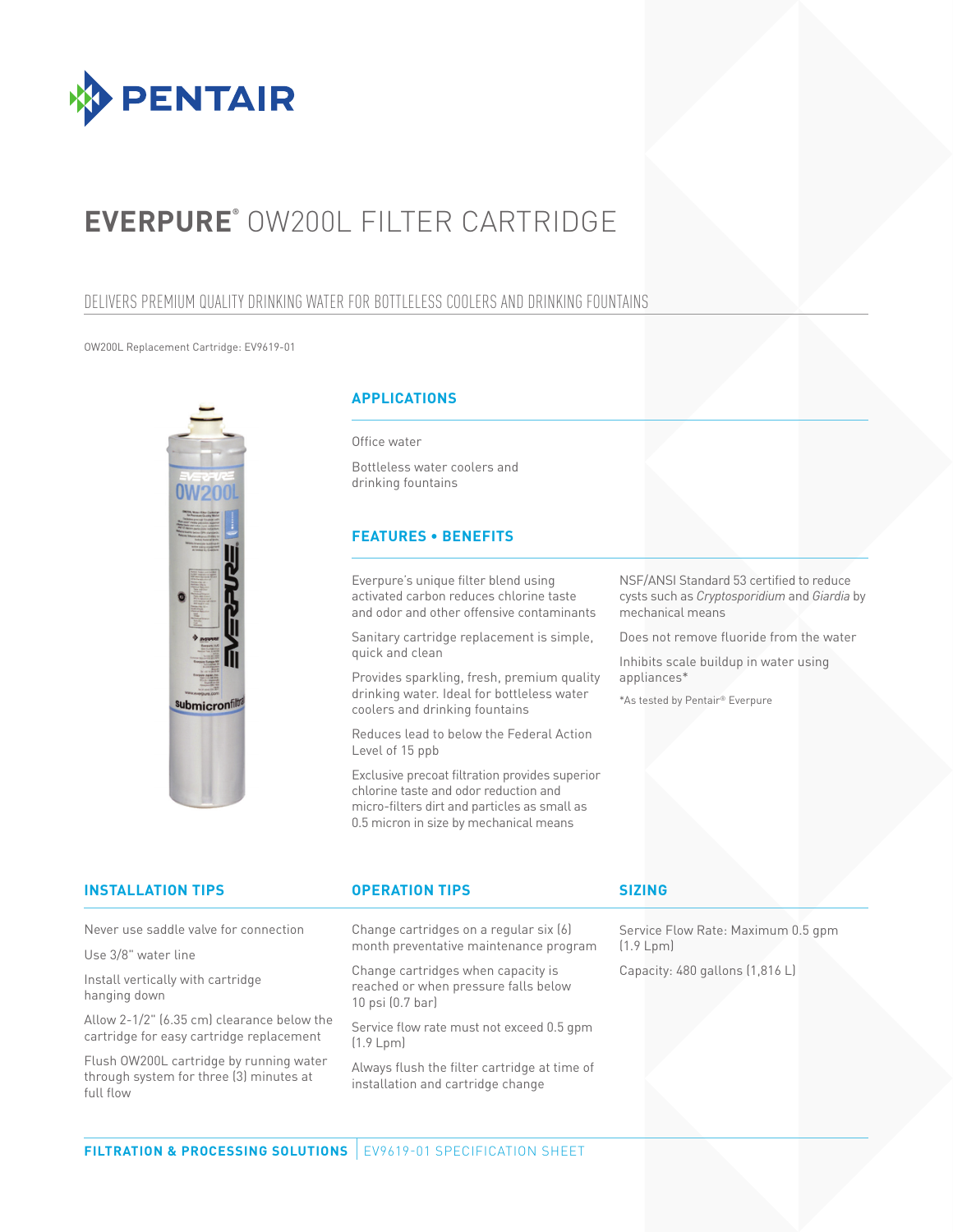

# **EVERPURE®** OW200L FILTER CARTRIDGE

## DELIVERS PREMIUM QUALITY DRINKING WATER FOR BOTTLELESS COOLERS AND DRINKING FOUNTAINS

### OW200L Replacement Cartridge: EV9619-01



### **APPLICATIONS**

Office water

Bottleless water coolers and drinking fountains

## **FEATURES • BENEFITS**

Everpure's unique filter blend using activated carbon reduces chlorine taste and odor and other offensive contaminants

Sanitary cartridge replacement is simple, quick and clean

Provides sparkling, fresh, premium quality drinking water. Ideal for bottleless water coolers and drinking fountains

Reduces lead to below the Federal Action Level of 15 ppb

Exclusive precoat filtration provides superior chlorine taste and odor reduction and micro-filters dirt and particles as small as 0.5 micron in size by mechanical means

NSF/ANSI Standard 53 certified to reduce cysts such as *Cryptosporidium* and *Giardia* by mechanical means

Does not remove fluoride from the water

Inhibits scale buildup in water using appliances\*

\*As tested by Pentair® Everpure

| <b>INSTALLATION TIPS</b>                                                               | <b>OPERATION TIPS</b>                                                                              | <b>SIZING</b>                                   |
|----------------------------------------------------------------------------------------|----------------------------------------------------------------------------------------------------|-------------------------------------------------|
| Never use saddle valve for connection                                                  | Change cartridges on a regular six (6)<br>month preventative maintenance program                   | Service Flow Rate: Maximum 0.5 gpm<br>(1.9 Lpm) |
| Use 3/8" water line                                                                    |                                                                                                    |                                                 |
| Install vertically with cartridge<br>hanging down                                      | Change cartridges when capacity is<br>reached or when pressure falls below<br>$10$ psi $(0.7$ bar) | Capacity: 480 gallons (1,816 L)                 |
| Allow 2-1/2" (6.35 cm) clearance below the<br>cartridge for easy cartridge replacement | Service flow rate must not exceed 0.5 qpm<br>(1.9 Lpm)                                             |                                                 |
| Flush OW200L cartridge by running water<br>through system for three (3) minutes at     | Always flush the filter cartridge at time of<br>installation and cartridge change                  |                                                 |
| full flow                                                                              |                                                                                                    |                                                 |